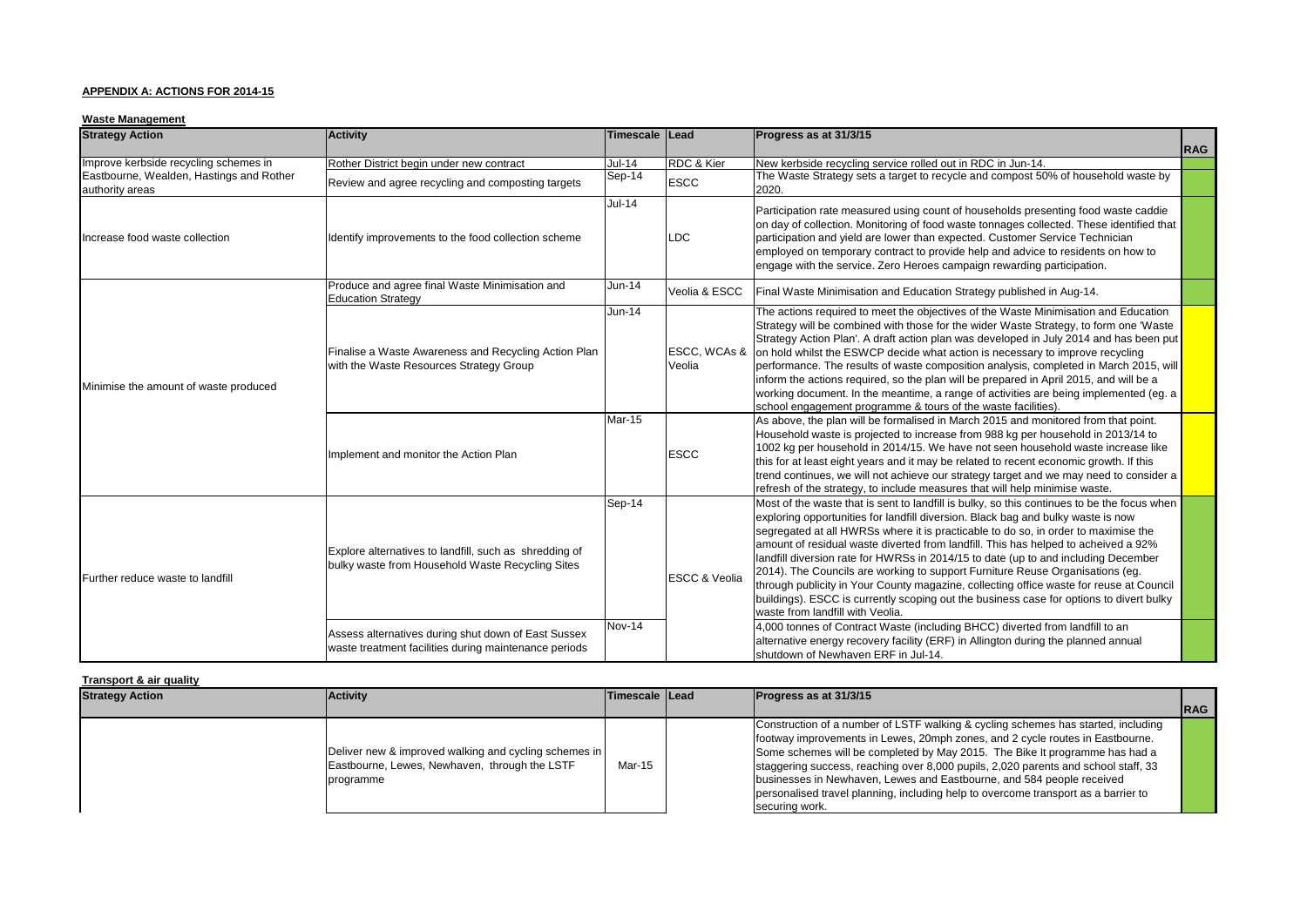### **APPENDIX A: ACTIONS FOR 2014-15**

#### **Waste Management**

| <b>Strategy Action</b>                                      | <b>Activity</b>                                                                                              | Timescale Lead |                          | Progress as at 31/3/15                                                                                                                                                                                                                                                                                                                                                                                                                                                                                                                                                                                                                                                                                                                                       | <b>RAG</b> |
|-------------------------------------------------------------|--------------------------------------------------------------------------------------------------------------|----------------|--------------------------|--------------------------------------------------------------------------------------------------------------------------------------------------------------------------------------------------------------------------------------------------------------------------------------------------------------------------------------------------------------------------------------------------------------------------------------------------------------------------------------------------------------------------------------------------------------------------------------------------------------------------------------------------------------------------------------------------------------------------------------------------------------|------------|
| Improve kerbside recycling schemes in                       | Rother District begin under new contract                                                                     | $Jul-14$       | RDC & Kier               | New kerbside recycling service rolled out in RDC in Jun-14.                                                                                                                                                                                                                                                                                                                                                                                                                                                                                                                                                                                                                                                                                                  |            |
| Eastbourne, Wealden, Hastings and Rother<br>authority areas | Review and agree recycling and composting targets                                                            | Sep-14         | <b>ESCC</b>              | The Waste Strategy sets a target to recycle and compost 50% of household waste by<br>2020.                                                                                                                                                                                                                                                                                                                                                                                                                                                                                                                                                                                                                                                                   |            |
| Increase food waste collection                              | Identify improvements to the food collection scheme                                                          | $Jul-14$       | <b>LDC</b>               | Participation rate measured using count of households presenting food waste caddie<br>on day of collection. Monitoring of food waste tonnages collected. These identified that<br>participation and yield are lower than expected. Customer Service Technician<br>employed on temporary contract to provide help and advice to residents on how to<br>engage with the service. Zero Heroes campaign rewarding participation.                                                                                                                                                                                                                                                                                                                                 |            |
|                                                             | Produce and agree final Waste Minimisation and<br><b>Education Strategy</b>                                  | <b>Jun-14</b>  | Veolia & ESCC            | Final Waste Minimisation and Education Strategy published in Aug-14.                                                                                                                                                                                                                                                                                                                                                                                                                                                                                                                                                                                                                                                                                         |            |
| Minimise the amount of waste produced                       | Finalise a Waste Awareness and Recycling Action Plan<br>with the Waste Resources Strategy Group              | <b>Jun-14</b>  | ESCC, WCAs &<br>Veolia   | The actions required to meet the objectives of the Waste Minimisation and Education<br>Strategy will be combined with those for the wider Waste Strategy, to form one 'Waste'<br>Strategy Action Plan'. A draft action plan was developed in July 2014 and has been put<br>on hold whilst the ESWCP decide what action is necessary to improve recycling<br>performance. The results of waste composition analysis, completed in March 2015, will<br>inform the actions required, so the plan will be prepared in April 2015, and will be a<br>working document. In the meantime, a range of activities are being implemented (eg. a<br>school engagement programme & tours of the waste facilities).                                                        |            |
|                                                             | Implement and monitor the Action Plan                                                                        | <b>Mar-15</b>  | <b>ESCC</b>              | As above, the plan will be formalised in March 2015 and monitored from that point.<br>Household waste is projected to increase from 988 kg per household in 2013/14 to<br>1002 kg per household in 2014/15. We have not seen household waste increase like<br>this for at least eight years and it may be related to recent economic growth. If this<br>trend continues, we will not achieve our strategy target and we may need to consider a<br>refresh of the strategy, to include measures that will help minimise waste.                                                                                                                                                                                                                                |            |
| Further reduce waste to landfill                            | Explore alternatives to landfill, such as shredding of<br>bulky waste from Household Waste Recycling Sites   |                | <b>ESCC &amp; Veolia</b> | Most of the waste that is sent to landfill is bulky, so this continues to be the focus when<br>exploring opportunities for landfill diversion. Black bag and bulky waste is now<br>segregated at all HWRSs where it is practicable to do so, in order to maximise the<br>amount of residual waste diverted from landfill. This has helped to acheived a 92%<br>landfill diversion rate for HWRSs in 2014/15 to date (up to and including December<br>2014). The Councils are working to support Furniture Reuse Organisations (eg.<br>through publicity in Your County magazine, collecting office waste for reuse at Council<br>buildings). ESCC is currently scoping out the business case for options to divert bulky<br>waste from landfill with Veolia. |            |
|                                                             | Assess alternatives during shut down of East Sussex<br>waste treatment facilities during maintenance periods | Nov-14         |                          | 4,000 tonnes of Contract Waste (including BHCC) diverted from landfill to an<br>alternative energy recovery facility (ERF) in Allington during the planned annual<br>shutdown of Newhaven ERF in Jul-14.                                                                                                                                                                                                                                                                                                                                                                                                                                                                                                                                                     |            |

#### **Transport & air quality**

| <b>Strategy Action</b> | <b>Activity</b>                                                                                                     | Timescale Lead | Progress as at 31/3/15                                                                                                                                                                                                                                                                                                                                                                                                                                                                                                   | <b>RAG</b> |
|------------------------|---------------------------------------------------------------------------------------------------------------------|----------------|--------------------------------------------------------------------------------------------------------------------------------------------------------------------------------------------------------------------------------------------------------------------------------------------------------------------------------------------------------------------------------------------------------------------------------------------------------------------------------------------------------------------------|------------|
|                        | Deliver new & improved walking and cycling schemes in<br>Eastbourne, Lewes, Newhaven, through the LSTF<br>programme | Mar-15         | Construction of a number of LSTF walking & cycling schemes has started, including<br>footway improvements in Lewes, 20mph zones, and 2 cycle routes in Eastbourne.<br>Some schemes will be completed by May 2015. The Bike It programme has had a<br>staggering success, reaching over 8,000 pupils, 2,020 parents and school staff, 33<br>businesses in Newhaven, Lewes and Eastbourne, and 584 people received<br>personalised travel planning, including help to overcome transport as a barrier to<br>securing work. |            |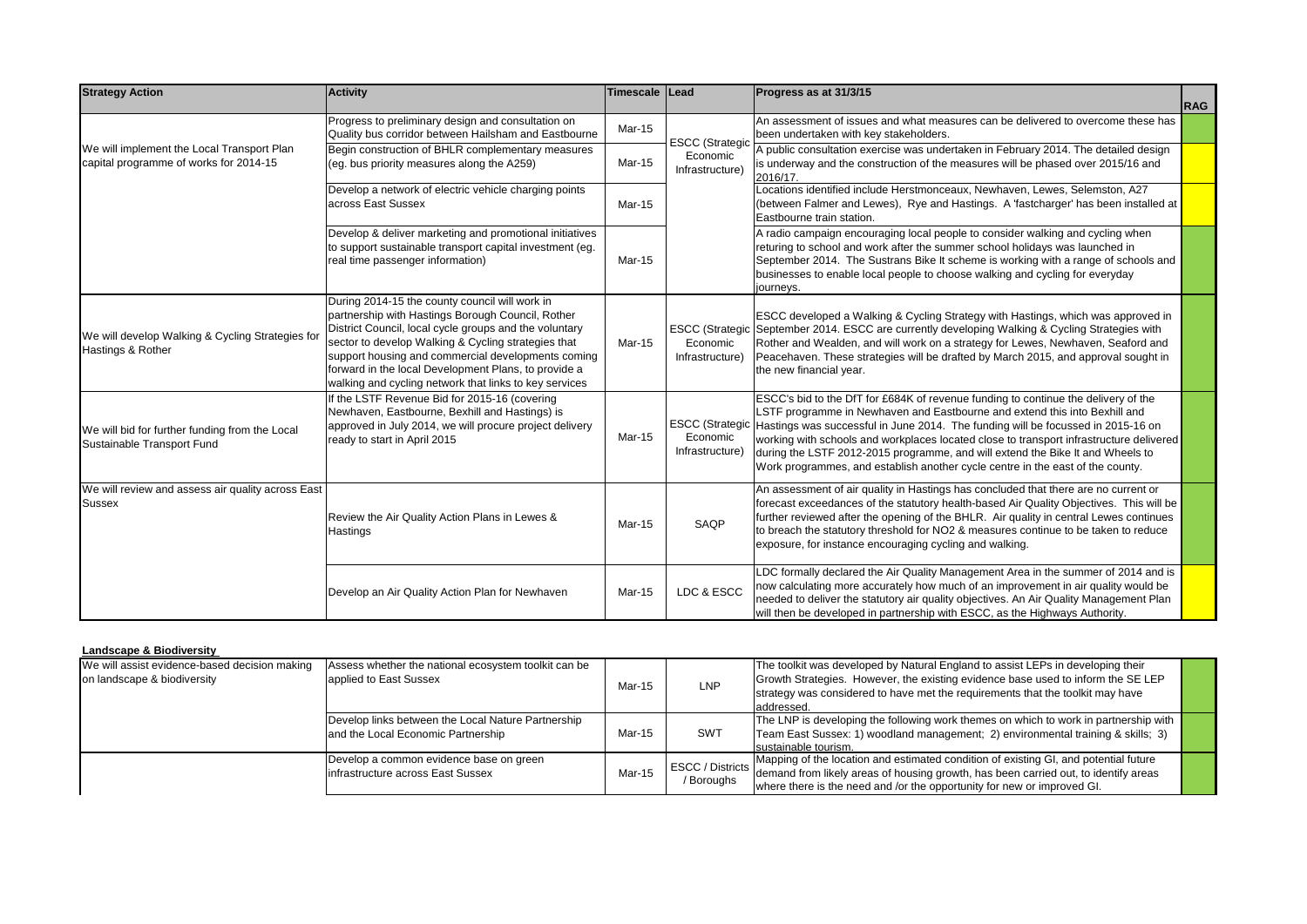| <b>Strategy Action</b>                                                                                                                                                                                                                                                    | <b>Activity</b>                                                                                                                                                                                                                                                                                                                                                                              | Timescale Lead |                                                       | Progress as at 31/3/15                                                                                                                                                                                                                                                                                                                                                                                                                                                                                              |            |
|---------------------------------------------------------------------------------------------------------------------------------------------------------------------------------------------------------------------------------------------------------------------------|----------------------------------------------------------------------------------------------------------------------------------------------------------------------------------------------------------------------------------------------------------------------------------------------------------------------------------------------------------------------------------------------|----------------|-------------------------------------------------------|---------------------------------------------------------------------------------------------------------------------------------------------------------------------------------------------------------------------------------------------------------------------------------------------------------------------------------------------------------------------------------------------------------------------------------------------------------------------------------------------------------------------|------------|
|                                                                                                                                                                                                                                                                           |                                                                                                                                                                                                                                                                                                                                                                                              |                |                                                       |                                                                                                                                                                                                                                                                                                                                                                                                                                                                                                                     | <b>RAG</b> |
|                                                                                                                                                                                                                                                                           | Progress to preliminary design and consultation on<br>Quality bus corridor between Hailsham and Eastbourne                                                                                                                                                                                                                                                                                   | Mar-15         | <b>ESCC</b> (Strategic                                | An assessment of issues and what measures can be delivered to overcome these has<br>been undertaken with key stakeholders.                                                                                                                                                                                                                                                                                                                                                                                          |            |
| We will implement the Local Transport Plan<br>capital programme of works for 2014-15                                                                                                                                                                                      | Begin construction of BHLR complementary measures<br>(eq. bus priority measures along the A259)                                                                                                                                                                                                                                                                                              | Mar-15         | Economic<br>Infrastructure)                           | A public consultation exercise was undertaken in February 2014. The detailed design<br>is underway and the construction of the measures will be phased over 2015/16 and<br>2016/17.                                                                                                                                                                                                                                                                                                                                 |            |
|                                                                                                                                                                                                                                                                           | Develop a network of electric vehicle charging points<br>across East Sussex                                                                                                                                                                                                                                                                                                                  | Mar-15         |                                                       | Locations identified include Herstmonceaux, Newhaven, Lewes, Selemston, A27<br>(between Falmer and Lewes), Rye and Hastings. A 'fastcharger' has been installed at<br>Eastbourne train station.                                                                                                                                                                                                                                                                                                                     |            |
|                                                                                                                                                                                                                                                                           | Develop & deliver marketing and promotional initiatives<br>to support sustainable transport capital investment (eg.<br>real time passenger information)                                                                                                                                                                                                                                      | Mar-15         |                                                       | A radio campaign encouraging local people to consider walking and cycling when<br>returing to school and work after the summer school holidays was launched in<br>September 2014. The Sustrans Bike It scheme is working with a range of schools and<br>businesses to enable local people to choose walking and cycling for everyday<br>journeys.                                                                                                                                                                   |            |
| We will develop Walking & Cycling Strategies for<br>Hastings & Rother                                                                                                                                                                                                     | During 2014-15 the county council will work in<br>partnership with Hastings Borough Council, Rother<br>District Council, local cycle groups and the voluntary<br>sector to develop Walking & Cycling strategies that<br>support housing and commercial developments coming<br>forward in the local Development Plans, to provide a<br>walking and cycling network that links to key services | Mar-15         | <b>ESCC</b> (Strategic<br>Economic<br>Infrastructure) | ESCC developed a Walking & Cycling Strategy with Hastings, which was approved in<br>September 2014. ESCC are currently developing Walking & Cycling Strategies with<br>Rother and Wealden, and will work on a strategy for Lewes, Newhaven, Seaford and<br>Peacehaven. These strategies will be drafted by March 2015, and approval sought in<br>the new financial year.                                                                                                                                            |            |
| f the LSTF Revenue Bid for 2015-16 (covering<br>Newhaven, Eastbourne, Bexhill and Hastings) is<br>approved in July 2014, we will procure project delivery<br>We will bid for further funding from the Local<br>ready to start in April 2015<br>Sustainable Transport Fund |                                                                                                                                                                                                                                                                                                                                                                                              | Mar-15         | <b>ESCC</b> (Strategic<br>Economic<br>Infrastructure) | ESCC's bid to the DfT for £684K of revenue funding to continue the delivery of the<br>LSTF programme in Newhaven and Eastbourne and extend this into Bexhill and<br>Hastings was successful in June 2014. The funding will be focussed in 2015-16 on<br>working with schools and workplaces located close to transport infrastructure delivered<br>during the LSTF 2012-2015 programme, and will extend the Bike It and Wheels to<br>Work programmes, and establish another cycle centre in the east of the county. |            |
| We will review and assess air quality across East<br><b>Sussex</b>                                                                                                                                                                                                        | Review the Air Quality Action Plans in Lewes &<br>Hastings                                                                                                                                                                                                                                                                                                                                   | Mar-15         | SAQP                                                  | An assessment of air quality in Hastings has concluded that there are no current or<br>forecast exceedances of the statutory health-based Air Quality Objectives. This will be<br>further reviewed after the opening of the BHLR. Air quality in central Lewes continues<br>to breach the statutory threshold for NO2 & measures continue to be taken to reduce<br>exposure, for instance encouraging cycling and walking.                                                                                          |            |
|                                                                                                                                                                                                                                                                           | Develop an Air Quality Action Plan for Newhaven                                                                                                                                                                                                                                                                                                                                              | Mar-15         | LDC & ESCC                                            | LDC formally declared the Air Quality Management Area in the summer of 2014 and is<br>now calculating more accurately how much of an improvement in air quality would be<br>needed to deliver the statutory air quality objectives. An Air Quality Management Plan<br>will then be developed in partnership with ESCC, as the Highways Authority.                                                                                                                                                                   |            |

### **Landscape & Biodiversity**

| We will assist evidence-based decision making<br>on landscape & biodiversity | Assess whether the national ecosystem toolkit can be<br>applied to East Sussex           | LNP<br>Mar-15<br>addressed. |                                       | The toolkit was developed by Natural England to assist LEPs in developing their<br>Growth Strategies. However, the existing evidence base used to inform the SE LEP<br>strategy was considered to have met the requirements that the toolkit may have  |  |
|------------------------------------------------------------------------------|------------------------------------------------------------------------------------------|-----------------------------|---------------------------------------|--------------------------------------------------------------------------------------------------------------------------------------------------------------------------------------------------------------------------------------------------------|--|
|                                                                              | Develop links between the Local Nature Partnership<br>and the Local Economic Partnership | Mar-15                      | <b>SWT</b>                            | The LNP is developing the following work themes on which to work in partnership with<br>Team East Sussex: 1) woodland management; 2) environmental training & skills; 3)<br>sustainable tourism.                                                       |  |
|                                                                              | Develop a common evidence base on green<br>infrastructure across East Sussex             | Mar-15                      | <b>ESCC</b> / Districts<br>/ Boroughs | Mapping of the location and estimated condition of existing GI, and potential future<br>demand from likely areas of housing growth, has been carried out, to identify areas<br>where there is the need and /or the opportunity for new or improved GI. |  |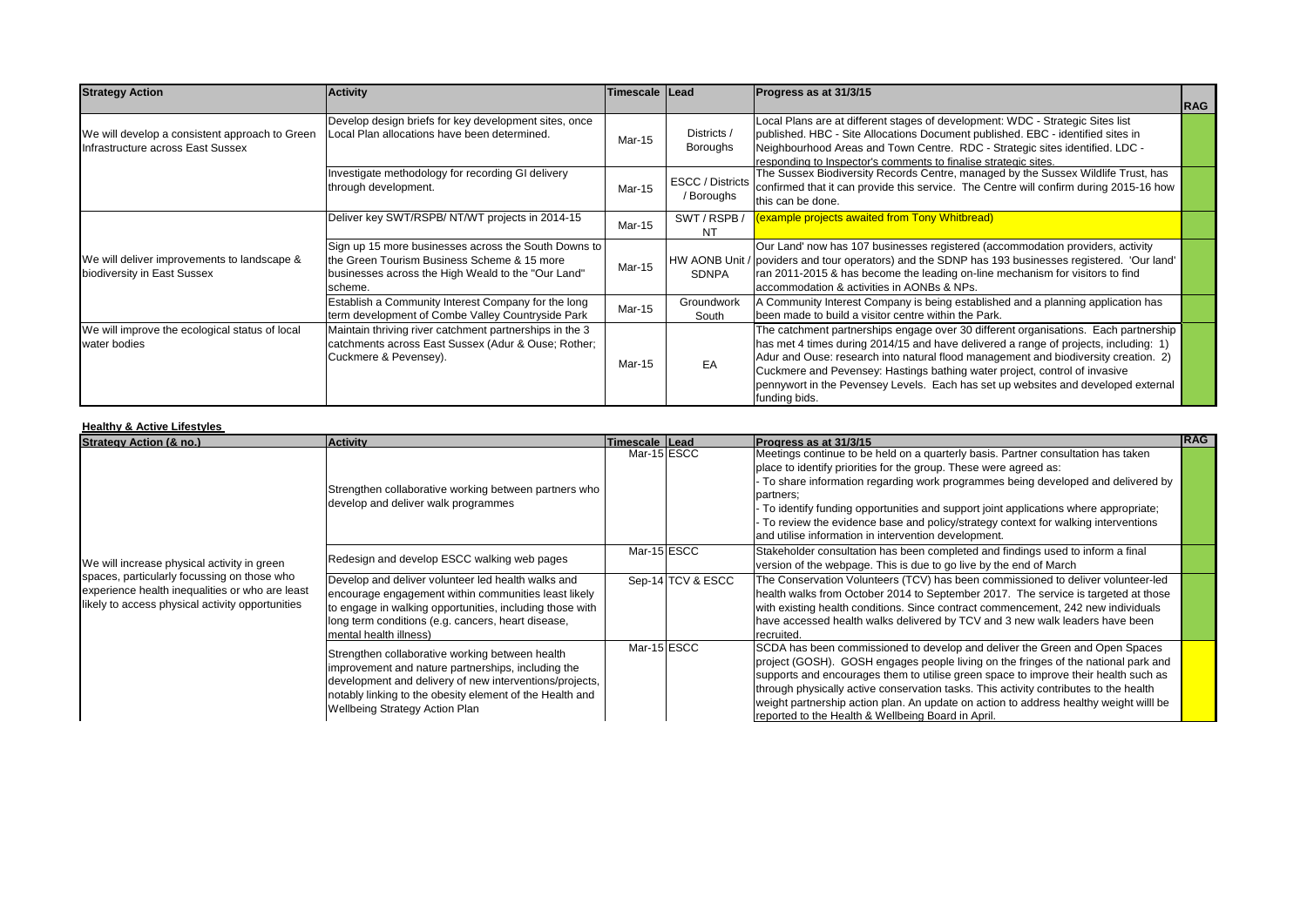| <b>Strategy Action</b>                                                              | <b>Activity</b>                                                                                                                                                      | Timescale Lead |                                       | Progress as at 31/3/15                                                                                                                                                                                                                                                                                                                                                                                                                                 |            |
|-------------------------------------------------------------------------------------|----------------------------------------------------------------------------------------------------------------------------------------------------------------------|----------------|---------------------------------------|--------------------------------------------------------------------------------------------------------------------------------------------------------------------------------------------------------------------------------------------------------------------------------------------------------------------------------------------------------------------------------------------------------------------------------------------------------|------------|
|                                                                                     |                                                                                                                                                                      |                |                                       |                                                                                                                                                                                                                                                                                                                                                                                                                                                        | <b>RAG</b> |
| We will develop a consistent approach to Green<br>Infrastructure across East Sussex | Develop design briefs for key development sites, once<br>Local Plan allocations have been determined.                                                                | Mar-15         | Districts /<br>Boroughs               | Local Plans are at different stages of development: WDC - Strategic Sites list<br>published. HBC - Site Allocations Document published. EBC - identified sites in<br>Neighbourhood Areas and Town Centre. RDC - Strategic sites identified. LDC -<br>responding to Inspector's comments to finalise strategic sites.                                                                                                                                   |            |
|                                                                                     | Investigate methodology for recording GI delivery<br>through development.                                                                                            | Mar-15         | <b>ESCC</b> / Districts<br>/ Boroughs | The Sussex Biodiversity Records Centre, managed by the Sussex Wildlife Trust, has<br>confirmed that it can provide this service. The Centre will confirm during 2015-16 how<br>this can be done.                                                                                                                                                                                                                                                       |            |
|                                                                                     | Deliver key SWT/RSPB/ NT/WT projects in 2014-15                                                                                                                      | Mar-15         | SWT/RSPB/<br><b>NT</b>                | (example projects awaited from Tony Whitbread)                                                                                                                                                                                                                                                                                                                                                                                                         |            |
| We will deliver improvements to landscape &<br>biodiversity in East Sussex          | Sign up 15 more businesses across the South Downs to<br>the Green Tourism Business Scheme & 15 more<br>businesses across the High Weald to the "Our Land"<br>scheme. | <b>Mar-15</b>  | SDNPA                                 | Our Land' now has 107 businesses registered (accommodation providers, activity<br>HW AONB Unit / poviders and tour operators) and the SDNP has 193 businesses registered. 'Our land'<br>ran 2011-2015 & has become the leading on-line mechanism for visitors to find<br>accommodation & activities in AONBs & NPs.                                                                                                                                    |            |
|                                                                                     | Establish a Community Interest Company for the long<br>term development of Combe Valley Countryside Park                                                             | Mar-15         | Groundwork<br>South                   | A Community Interest Company is being established and a planning application has<br>been made to build a visitor centre within the Park.                                                                                                                                                                                                                                                                                                               |            |
| We will improve the ecological status of local<br>water bodies                      | Maintain thriving river catchment partnerships in the 3<br>catchments across East Sussex (Adur & Ouse; Rother;<br>Cuckmere & Pevensey).                              | Mar-15         | EA                                    | The catchment partnerships engage over 30 different organisations. Each partnership<br>has met 4 times during 2014/15 and have delivered a range of projects, including: 1)<br>Adur and Ouse: research into natural flood management and biodiversity creation. 2)<br>Cuckmere and Pevensey: Hastings bathing water project, control of invasive<br>pennywort in the Pevensey Levels. Each has set up websites and developed external<br>funding bids. |            |

#### **Healthy & Active Lifestyles**

| <b>Strategy Action (&amp; no.)</b>                                                                                                                                                                | <b>Activity</b>                                                                                                                                                                                                                                                       | Timescale Lead |                   | Progress as at 31/3/15                                                                                                                                                                                                                                                                                                                                                                                                                                                                            | <b>IRAG</b> |
|---------------------------------------------------------------------------------------------------------------------------------------------------------------------------------------------------|-----------------------------------------------------------------------------------------------------------------------------------------------------------------------------------------------------------------------------------------------------------------------|----------------|-------------------|---------------------------------------------------------------------------------------------------------------------------------------------------------------------------------------------------------------------------------------------------------------------------------------------------------------------------------------------------------------------------------------------------------------------------------------------------------------------------------------------------|-------------|
| We will increase physical activity in green<br>spaces, particularly focussing on those who<br>experience health inequalities or who are least<br>likely to access physical activity opportunities | Strengthen collaborative working between partners who<br>develop and deliver walk programmes                                                                                                                                                                          | Mar-15 ESCC    |                   | Meetings continue to be held on a quarterly basis. Partner consultation has taken<br>place to identify priorities for the group. These were agreed as:<br>To share information regarding work programmes being developed and delivered by<br>partners;<br>To identify funding opportunities and support joint applications where appropriate;<br>To review the evidence base and policy/strategy context for walking interventions<br>and utilise information in intervention development.        |             |
|                                                                                                                                                                                                   | Redesign and develop ESCC walking web pages                                                                                                                                                                                                                           | Mar-15 ESCC    |                   | Stakeholder consultation has been completed and findings used to inform a final<br>version of the webpage. This is due to go live by the end of March                                                                                                                                                                                                                                                                                                                                             |             |
|                                                                                                                                                                                                   | Develop and deliver volunteer led health walks and<br>encourage engagement within communities least likely<br>to engage in walking opportunities, including those with<br>long term conditions (e.g. cancers, heart disease,<br>mental health illness)                |                | Sep-14 TCV & ESCC | The Conservation Volunteers (TCV) has been commissioned to deliver volunteer-led<br>health walks from October 2014 to September 2017. The service is targeted at those<br>with existing health conditions. Since contract commencement, 242 new individuals<br>have accessed health walks delivered by TCV and 3 new walk leaders have been<br>recruited.                                                                                                                                         |             |
|                                                                                                                                                                                                   | Strengthen collaborative working between health<br>improvement and nature partnerships, including the<br>development and delivery of new interventions/projects,<br>notably linking to the obesity element of the Health and<br><b>Wellbeing Strategy Action Plan</b> | Mar-15 ESCC    |                   | SCDA has been commissioned to develop and deliver the Green and Open Spaces<br>project (GOSH). GOSH engages people living on the fringes of the national park and<br>supports and encourages them to utilise green space to improve their health such as<br>through physically active conservation tasks. This activity contributes to the health<br>weight partnership action plan. An update on action to address healthy weight willl be<br>reported to the Health & Wellbeing Board in April. |             |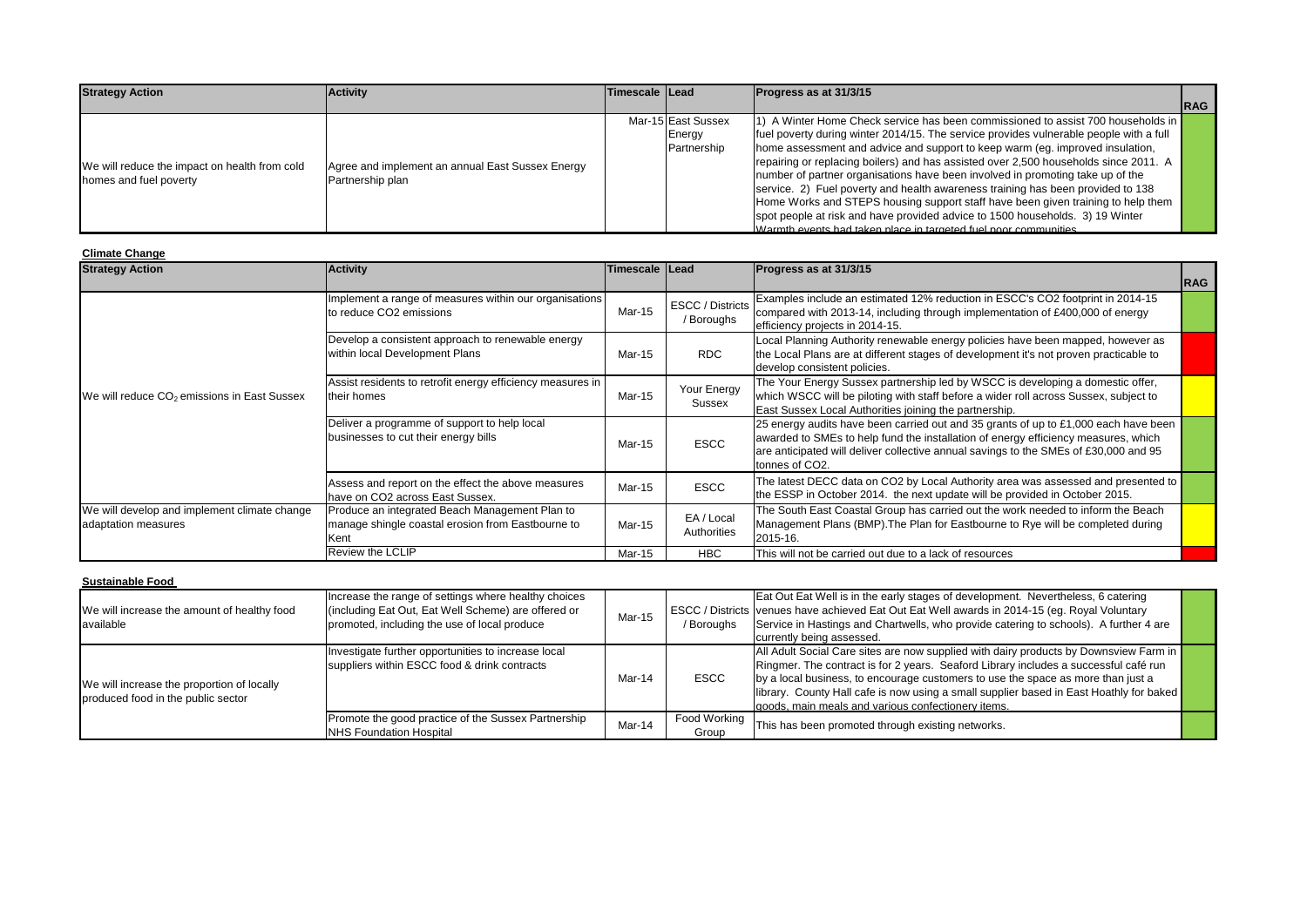| <b>Strategy Action</b>                        | <b>Activity</b>                                                      | Timescale Lead |                    | Progress as at 31/3/15                                                                 |             |
|-----------------------------------------------|----------------------------------------------------------------------|----------------|--------------------|----------------------------------------------------------------------------------------|-------------|
|                                               |                                                                      |                |                    |                                                                                        | <b>IRAG</b> |
|                                               |                                                                      |                | Mar-15 East Sussex | 1) A Winter Home Check service has been commissioned to assist 700 households in       |             |
|                                               |                                                                      |                | Energy             | fuel poverty during winter 2014/15. The service provides vulnerable people with a full |             |
|                                               | Agree and implement an annual East Sussex Energy<br>Partnership plan |                | Partnership        | home assessment and advice and support to keep warm (eg. improved insulation,          |             |
| We will reduce the impact on health from cold |                                                                      |                |                    | repairing or replacing boilers) and has assisted over 2,500 households since 2011. A   |             |
| homes and fuel poverty                        |                                                                      |                |                    | number of partner organisations have been involved in promoting take up of the         |             |
|                                               |                                                                      |                |                    | service. 2) Fuel poverty and health awareness training has been provided to 138        |             |
|                                               |                                                                      |                |                    | Home Works and STEPS housing support staff have been given training to help them       |             |
|                                               |                                                                      |                |                    | spot people at risk and have provided advice to 1500 households. 3) 19 Winter          |             |
|                                               |                                                                      |                |                    | Warmth events had taken place in targeted fuel poor communities                        |             |

#### **Climate Change**

| <b>Strategy Action</b>                                              | <b>Activity</b>                                                                                             | Timescale Lead |                                       | Progress as at 31/3/15                                                                                                                                                                                                                                                              | <b>RAG</b> |
|---------------------------------------------------------------------|-------------------------------------------------------------------------------------------------------------|----------------|---------------------------------------|-------------------------------------------------------------------------------------------------------------------------------------------------------------------------------------------------------------------------------------------------------------------------------------|------------|
|                                                                     | Implement a range of measures within our organisations<br>to reduce CO2 emissions                           | Mar-15         | <b>ESCC</b> / Districts<br>/ Boroughs | Examples include an estimated 12% reduction in ESCC's CO2 footprint in 2014-15<br>compared with 2013-14, including through implementation of £400,000 of energy<br>efficiency projects in 2014-15.                                                                                  |            |
|                                                                     | Develop a consistent approach to renewable energy<br>within local Development Plans                         | Mar-15         | <b>RDC</b>                            | Local Planning Authority renewable energy policies have been mapped, however as<br>the Local Plans are at different stages of development it's not proven practicable to<br>develop consistent policies.                                                                            |            |
| We will reduce CO <sub>2</sub> emissions in East Sussex             | Assist residents to retrofit energy efficiency measures in<br>their homes                                   | Mar-15         | Your Energy<br>Sussex                 | The Your Energy Sussex partnership led by WSCC is developing a domestic offer,<br>which WSCC will be piloting with staff before a wider roll across Sussex, subject to<br>East Sussex Local Authorities joining the partnership.                                                    |            |
|                                                                     | Deliver a programme of support to help local<br>businesses to cut their energy bills                        | Mar-15         | <b>ESCC</b>                           | 25 energy audits have been carried out and 35 grants of up to £1,000 each have been<br>awarded to SMEs to help fund the installation of energy efficiency measures, which<br>are anticipated will deliver collective annual savings to the SMEs of £30,000 and 95<br>tonnes of CO2. |            |
|                                                                     | Assess and report on the effect the above measures<br>have on CO2 across East Sussex.                       | Mar-15         | <b>ESCC</b>                           | The latest DECC data on CO2 by Local Authority area was assessed and presented to<br>the ESSP in October 2014. the next update will be provided in October 2015.                                                                                                                    |            |
| We will develop and implement climate change<br>adaptation measures | Produce an integrated Beach Management Plan to<br>manage shingle coastal erosion from Eastbourne to<br>Kent | Mar-15         | EA / Local<br>Authorities             | The South East Coastal Group has carried out the work needed to inform the Beach<br>Management Plans (BMP). The Plan for Eastbourne to Rye will be completed during<br>2015-16.                                                                                                     |            |
|                                                                     | Review the LCLIP                                                                                            | Mar-15         | <b>HBC</b>                            | This will not be carried out due to a lack of resources                                                                                                                                                                                                                             |            |

| <b>Sustainable Food</b>                                                          |                                                                                                                                                             |        |                       |                                                                                                                                                                                                                                                                                                                                                                                                                      |  |
|----------------------------------------------------------------------------------|-------------------------------------------------------------------------------------------------------------------------------------------------------------|--------|-----------------------|----------------------------------------------------------------------------------------------------------------------------------------------------------------------------------------------------------------------------------------------------------------------------------------------------------------------------------------------------------------------------------------------------------------------|--|
| We will increase the amount of healthy food<br>available                         | Increase the range of settings where healthy choices<br>(including Eat Out, Eat Well Scheme) are offered or<br>promoted, including the use of local produce | Mar-15 | / Boroughs            | Eat Out Eat Well is in the early stages of development. Nevertheless, 6 catering<br>ESCC / Districts venues have achieved Eat Out Eat Well awards in 2014-15 (eg. Royal Voluntary<br>Service in Hastings and Chartwells, who provide catering to schools). A further 4 are<br>currently being assessed.                                                                                                              |  |
| We will increase the proportion of locally<br>produced food in the public sector | Investigate further opportunities to increase local<br>suppliers within ESCC food & drink contracts                                                         | Mar-14 | <b>ESCC</b>           | All Adult Social Care sites are now supplied with dairy products by Downsview Farm in<br>Ringmer. The contract is for 2 years. Seaford Library includes a successful café run<br>by a local business, to encourage customers to use the space as more than just a<br>library. County Hall cafe is now using a small supplier based in East Hoathly for baked<br>l goods, main meals and various confectionery items. |  |
|                                                                                  | Promote the good practice of the Sussex Partnership<br>NHS Foundation Hospital                                                                              | Mar-14 | Food Working<br>Group | This has been promoted through existing networks.                                                                                                                                                                                                                                                                                                                                                                    |  |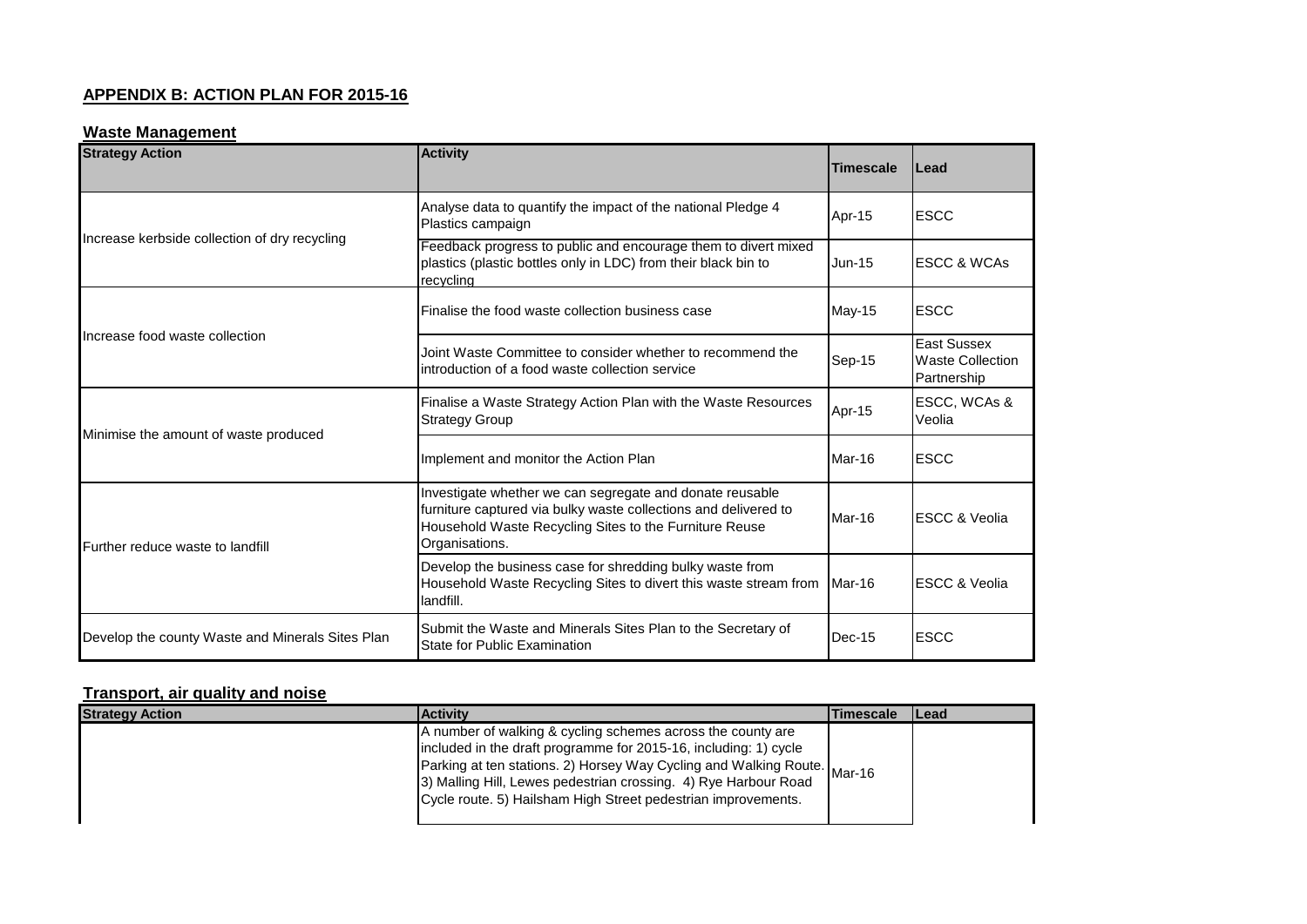## **APPENDIX B: ACTION PLAN FOR 2015-16**

# **Waste Management**

| <b>Strategy Action</b>                           | <b>Activity</b>                                                                                                                                                                                         | <b>Timescale</b> | lLead                                                        |
|--------------------------------------------------|---------------------------------------------------------------------------------------------------------------------------------------------------------------------------------------------------------|------------------|--------------------------------------------------------------|
|                                                  | Analyse data to quantify the impact of the national Pledge 4<br>Plastics campaign                                                                                                                       | Apr-15           | <b>ESCC</b>                                                  |
| Increase kerbside collection of dry recycling    | Feedback progress to public and encourage them to divert mixed<br>plastics (plastic bottles only in LDC) from their black bin to<br>recycling                                                           | $Jun-15$         | <b>ESCC &amp; WCAs</b>                                       |
|                                                  | Finalise the food waste collection business case                                                                                                                                                        | <b>May-15</b>    | <b>ESCC</b>                                                  |
| Increase food waste collection                   | Joint Waste Committee to consider whether to recommend the<br>introduction of a food waste collection service                                                                                           | Sep-15           | <b>East Sussex</b><br><b>Waste Collection</b><br>Partnership |
| Minimise the amount of waste produced            | Finalise a Waste Strategy Action Plan with the Waste Resources<br><b>Strategy Group</b>                                                                                                                 | Apr-15           | ESCC, WCAs &<br>Veolia                                       |
|                                                  | Implement and monitor the Action Plan                                                                                                                                                                   | Mar-16           | <b>ESCC</b>                                                  |
| Further reduce waste to landfill                 | Investigate whether we can segregate and donate reusable<br>furniture captured via bulky waste collections and delivered to<br>Household Waste Recycling Sites to the Furniture Reuse<br>Organisations. | Mar-16           | <b>IESCC &amp; Veolia</b>                                    |
|                                                  | Develop the business case for shredding bulky waste from<br>Household Waste Recycling Sites to divert this waste stream from<br>landfill.                                                               | Mar-16           | <b>ESCC &amp; Veolia</b>                                     |
| Develop the county Waste and Minerals Sites Plan | Submit the Waste and Minerals Sites Plan to the Secretary of<br>State for Public Examination                                                                                                            | $Dec-15$         | <b>ESCC</b>                                                  |

# **Transport, air quality and noise**

| <b>Strategy Action</b> | <b>Activity</b>                                                                                                                                                                                                                                                                                                                                 | <b>Timescale</b> | <b>ILead</b> |
|------------------------|-------------------------------------------------------------------------------------------------------------------------------------------------------------------------------------------------------------------------------------------------------------------------------------------------------------------------------------------------|------------------|--------------|
|                        | A number of walking & cycling schemes across the county are<br>included in the draft programme for 2015-16, including: 1) cycle<br>Parking at ten stations. 2) Horsey Way Cycling and Walking Route. Mar-16<br>3) Malling Hill, Lewes pedestrian crossing. 4) Rye Harbour Road<br>Cycle route. 5) Hailsham High Street pedestrian improvements. |                  |              |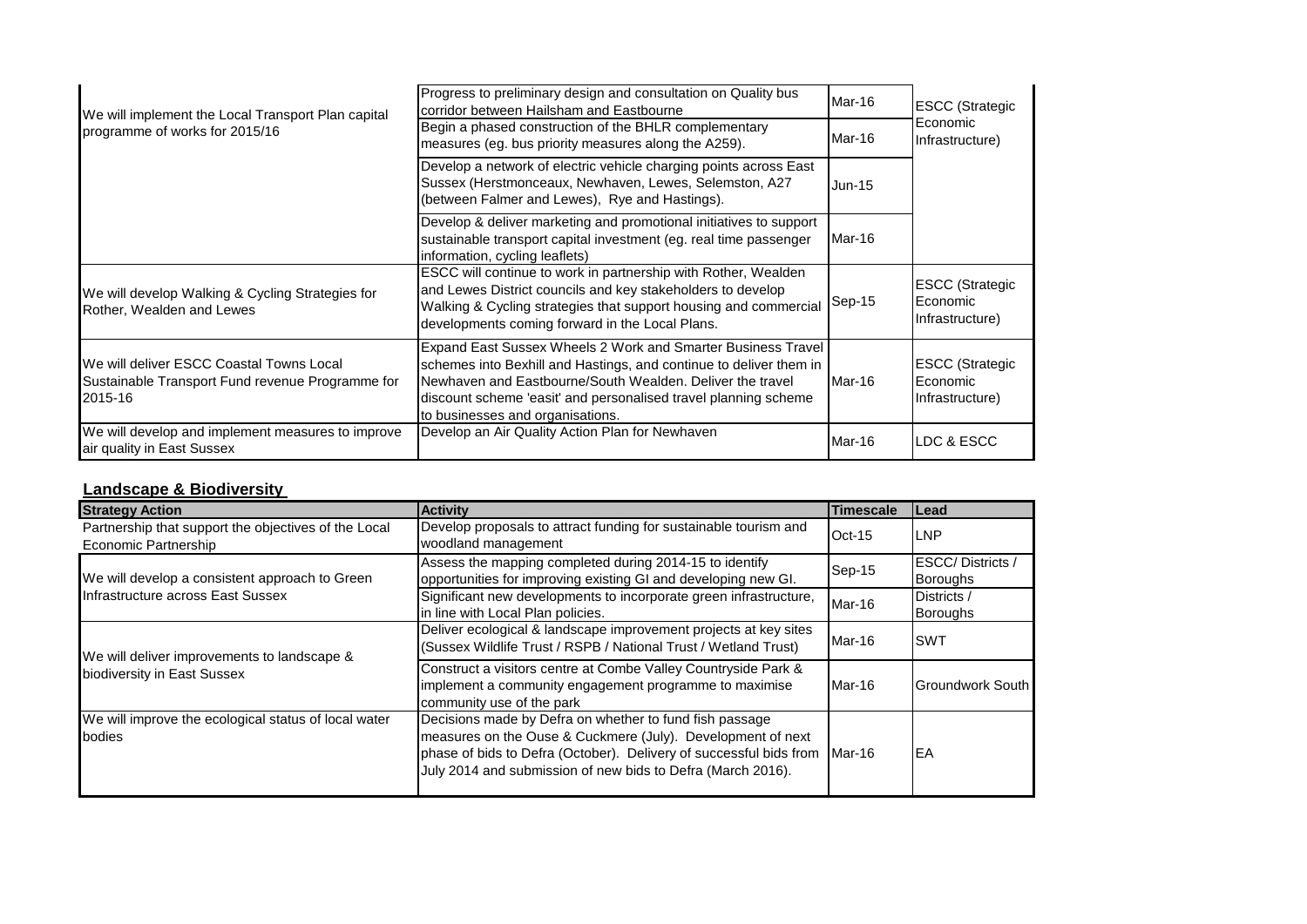| We will implement the Local Transport Plan capital<br>programme of works for 2015/16                    | Progress to preliminary design and consultation on Quality bus<br>corridor between Hailsham and Eastbourne<br>Begin a phased construction of the BHLR complementary<br>measures (eg. bus priority measures along the A259).                                                                            | Mar-16<br>Mar-16 | <b>ESCC (Strategic</b><br>Economic<br>Infrastructure) |
|---------------------------------------------------------------------------------------------------------|--------------------------------------------------------------------------------------------------------------------------------------------------------------------------------------------------------------------------------------------------------------------------------------------------------|------------------|-------------------------------------------------------|
|                                                                                                         | Develop a network of electric vehicle charging points across East<br>Sussex (Herstmonceaux, Newhaven, Lewes, Selemston, A27<br>(between Falmer and Lewes), Rye and Hastings).                                                                                                                          | <b>Jun-15</b>    |                                                       |
|                                                                                                         | Develop & deliver marketing and promotional initiatives to support<br>sustainable transport capital investment (eg. real time passenger<br>information, cycling leaflets)                                                                                                                              | Mar-16           |                                                       |
| We will develop Walking & Cycling Strategies for<br>Rother, Wealden and Lewes                           | ESCC will continue to work in partnership with Rother, Wealden<br>and Lewes District councils and key stakeholders to develop<br>Walking & Cycling strategies that support housing and commercial<br>developments coming forward in the Local Plans.                                                   | $Sep-15$         | <b>ESCC (Strategic</b><br>Economic<br>Infrastructure) |
| We will deliver ESCC Coastal Towns Local<br>Sustainable Transport Fund revenue Programme for<br>2015-16 | Expand East Sussex Wheels 2 Work and Smarter Business Travel<br>schemes into Bexhill and Hastings, and continue to deliver them in<br>Newhaven and Eastbourne/South Wealden, Deliver the travel<br>discount scheme 'easit' and personalised travel planning scheme<br>to businesses and organisations. | Mar-16           | <b>ESCC (Strategic</b><br>Economic<br>Infrastructure) |
| We will develop and implement measures to improve<br>air quality in East Sussex                         | Develop an Air Quality Action Plan for Newhaven                                                                                                                                                                                                                                                        | Mar-16           | <b>I</b> LDC & ESCC                                   |

## **Landscape & Biodiversity**

| <b>Strategy Action</b>                                                              | <b>Activity</b>                                                                                                                                                                                                                                             | <b>Timescale</b> | <b>ILead</b>                        |
|-------------------------------------------------------------------------------------|-------------------------------------------------------------------------------------------------------------------------------------------------------------------------------------------------------------------------------------------------------------|------------------|-------------------------------------|
| Partnership that support the objectives of the Local<br>Economic Partnership        | Develop proposals to attract funding for sustainable tourism and<br>woodland management                                                                                                                                                                     | $Oct-15$         | <b>ILNP</b>                         |
| We will develop a consistent approach to Green<br>Infrastructure across East Sussex | Assess the mapping completed during 2014-15 to identify<br>opportunities for improving existing GI and developing new GI.                                                                                                                                   | Sep-15           | ESCC/Districts /<br><b>Boroughs</b> |
|                                                                                     | Significant new developments to incorporate green infrastructure,<br>in line with Local Plan policies.                                                                                                                                                      | Mar-16           | Districts /<br><b>Boroughs</b>      |
| We will deliver improvements to landscape &<br>biodiversity in East Sussex          | Deliver ecological & landscape improvement projects at key sites<br>(Sussex Wildlife Trust / RSPB / National Trust / Wetland Trust)                                                                                                                         | Mar-16           | <b>SWT</b>                          |
|                                                                                     | Construct a visitors centre at Combe Valley Countryside Park &<br>implement a community engagement programme to maximise<br>community use of the park                                                                                                       | Mar-16           | <b>Groundwork South</b>             |
| We will improve the ecological status of local water<br>bodies                      | Decisions made by Defra on whether to fund fish passage<br>measures on the Ouse & Cuckmere (July). Development of next<br>phase of bids to Defra (October). Delivery of successful bids from<br>July 2014 and submission of new bids to Defra (March 2016). | Mar-16           | IEA                                 |